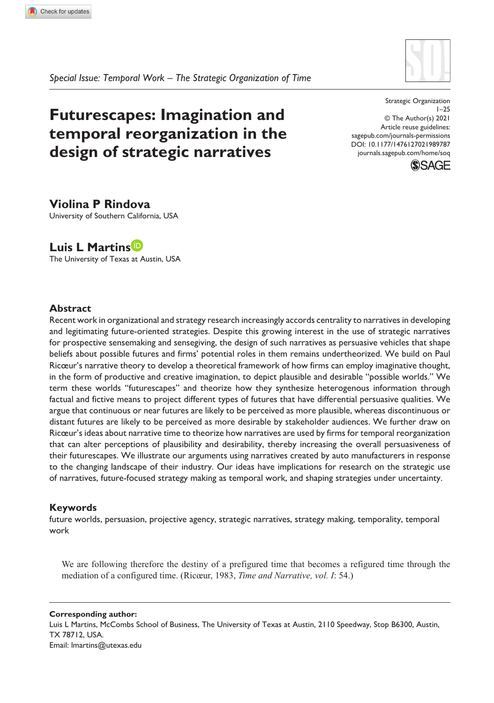

*Special Issue: Temporal Work – The Strategic Organization of Time*

# **Futurescapes: Imagination and temporal reorganization in the design of strategic narratives**

DOI: 10.1177/1476127021989787 Strategic Organization 1–25 © The Author(s) 2021 Article reuse guidelines: [sagepub.com/journals-permissions](https://uk.sagepub.com/en-gb/journals-permissions) [journals.sagepub.com/home/soq](https://journals.sagepub.com/home/soq)



# **Violina P Rindova**

University of Southern California, USA

# **Luis L Martins**

The University of Texas at Austin, USA

### **Abstract**

Recent work in organizational and strategy research increasingly accords centrality to narratives in developing and legitimating future-oriented strategies. Despite this growing interest in the use of strategic narratives for prospective sensemaking and sensegiving, the design of such narratives as persuasive vehicles that shape beliefs about possible futures and firms' potential roles in them remains undertheorized. We build on Paul Ricœur's narrative theory to develop a theoretical framework of how firms can employ imaginative thought, in the form of productive and creative imagination, to depict plausible and desirable "possible worlds." We term these worlds "futurescapes" and theorize how they synthesize heterogenous information through factual and fictive means to project different types of futures that have differential persuasive qualities. We argue that continuous or near futures are likely to be perceived as more plausible, whereas discontinuous or distant futures are likely to be perceived as more desirable by stakeholder audiences. We further draw on Ricœur's ideas about narrative time to theorize how narratives are used by firms for temporal reorganization that can alter perceptions of plausibility and desirability, thereby increasing the overall persuasiveness of their futurescapes. We illustrate our arguments using narratives created by auto manufacturers in response to the changing landscape of their industry. Our ideas have implications for research on the strategic use of narratives, future-focused strategy making as temporal work, and shaping strategies under uncertainty.

### **Keywords**

future worlds, persuasion, projective agency, strategic narratives, strategy making, temporality, temporal work

We are following therefore the destiny of a prefigured time that becomes a refigured time through the mediation of a configured time. (Ricœur, 1983, *Time and Narrative, vol. I*: 54.)

**Corresponding author:** Luis L Martins, McCombs School of Business, The University of Texas at Austin, 2110 Speedway, Stop B6300, Austin, TX 78712, USA. Email: [lmartins@utexas.edu](mailto:lmartins@utexas.edu)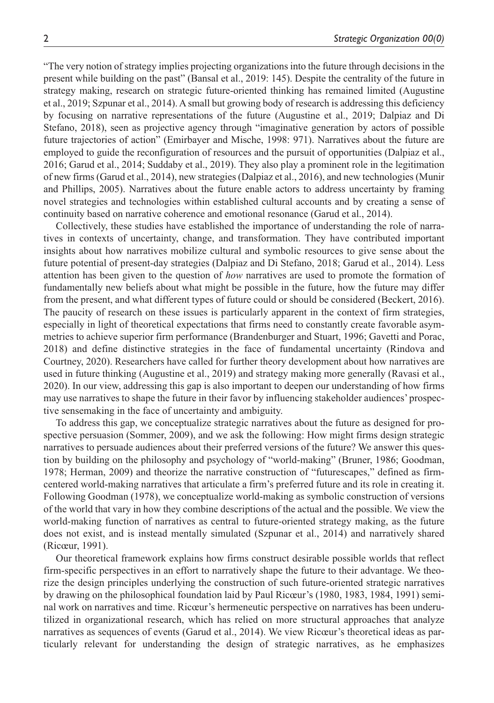"The very notion of strategy implies projecting organizations into the future through decisions in the present while building on the past" (Bansal et al., 2019: 145). Despite the centrality of the future in strategy making, research on strategic future-oriented thinking has remained limited (Augustine et al., 2019; Szpunar et al., 2014). A small but growing body of research is addressing this deficiency by focusing on narrative representations of the future (Augustine et al., 2019; Dalpiaz and Di Stefano, 2018), seen as projective agency through "imaginative generation by actors of possible future trajectories of action" (Emirbayer and Mische, 1998: 971). Narratives about the future are employed to guide the reconfiguration of resources and the pursuit of opportunities (Dalpiaz et al., 2016; Garud et al., 2014; Suddaby et al., 2019). They also play a prominent role in the legitimation of new firms (Garud et al., 2014), new strategies (Dalpiaz et al., 2016), and new technologies (Munir and Phillips, 2005). Narratives about the future enable actors to address uncertainty by framing novel strategies and technologies within established cultural accounts and by creating a sense of continuity based on narrative coherence and emotional resonance (Garud et al., 2014).

Collectively, these studies have established the importance of understanding the role of narratives in contexts of uncertainty, change, and transformation. They have contributed important insights about how narratives mobilize cultural and symbolic resources to give sense about the future potential of present-day strategies (Dalpiaz and Di Stefano, 2018; Garud et al., 2014). Less attention has been given to the question of *how* narratives are used to promote the formation of fundamentally new beliefs about what might be possible in the future, how the future may differ from the present, and what different types of future could or should be considered (Beckert, 2016). The paucity of research on these issues is particularly apparent in the context of firm strategies, especially in light of theoretical expectations that firms need to constantly create favorable asymmetries to achieve superior firm performance (Brandenburger and Stuart, 1996; Gavetti and Porac, 2018) and define distinctive strategies in the face of fundamental uncertainty (Rindova and Courtney, 2020). Researchers have called for further theory development about how narratives are used in future thinking (Augustine et al., 2019) and strategy making more generally (Ravasi et al., 2020). In our view, addressing this gap is also important to deepen our understanding of how firms may use narratives to shape the future in their favor by influencing stakeholder audiences' prospective sensemaking in the face of uncertainty and ambiguity.

To address this gap, we conceptualize strategic narratives about the future as designed for prospective persuasion (Sommer, 2009), and we ask the following: How might firms design strategic narratives to persuade audiences about their preferred versions of the future? We answer this question by building on the philosophy and psychology of "world-making" (Bruner, 1986; Goodman, 1978; Herman, 2009) and theorize the narrative construction of "futurescapes," defined as firmcentered world-making narratives that articulate a firm's preferred future and its role in creating it. Following Goodman (1978), we conceptualize world-making as symbolic construction of versions of the world that vary in how they combine descriptions of the actual and the possible. We view the world-making function of narratives as central to future-oriented strategy making, as the future does not exist, and is instead mentally simulated (Szpunar et al., 2014) and narratively shared (Ricœur, 1991).

Our theoretical framework explains how firms construct desirable possible worlds that reflect firm-specific perspectives in an effort to narratively shape the future to their advantage. We theorize the design principles underlying the construction of such future-oriented strategic narratives by drawing on the philosophical foundation laid by Paul Ricœur's (1980, 1983, 1984, 1991) seminal work on narratives and time. Ricœur's hermeneutic perspective on narratives has been underutilized in organizational research, which has relied on more structural approaches that analyze narratives as sequences of events (Garud et al., 2014). We view Ricœur's theoretical ideas as particularly relevant for understanding the design of strategic narratives, as he emphasizes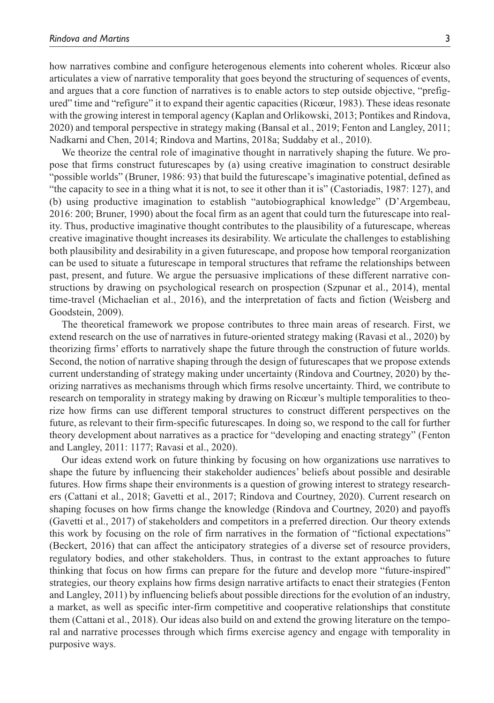how narratives combine and configure heterogenous elements into coherent wholes. Ricœur also articulates a view of narrative temporality that goes beyond the structuring of sequences of events, and argues that a core function of narratives is to enable actors to step outside objective, "prefigured" time and "refigure" it to expand their agentic capacities (Ricœur, 1983). These ideas resonate with the growing interest in temporal agency (Kaplan and Orlikowski, 2013; Pontikes and Rindova, 2020) and temporal perspective in strategy making (Bansal et al., 2019; Fenton and Langley, 2011; Nadkarni and Chen, 2014; Rindova and Martins, 2018a; Suddaby et al., 2010).

We theorize the central role of imaginative thought in narratively shaping the future. We propose that firms construct futurescapes by (a) using creative imagination to construct desirable "possible worlds" (Bruner, 1986: 93) that build the futurescape's imaginative potential, defined as "the capacity to see in a thing what it is not, to see it other than it is" (Castoriadis, 1987: 127), and (b) using productive imagination to establish "autobiographical knowledge" (D'Argembeau, 2016: 200; Bruner, 1990) about the focal firm as an agent that could turn the futurescape into reality. Thus, productive imaginative thought contributes to the plausibility of a futurescape, whereas creative imaginative thought increases its desirability. We articulate the challenges to establishing both plausibility and desirability in a given futurescape, and propose how temporal reorganization can be used to situate a futurescape in temporal structures that reframe the relationships between past, present, and future. We argue the persuasive implications of these different narrative constructions by drawing on psychological research on prospection (Szpunar et al., 2014), mental time-travel (Michaelian et al., 2016), and the interpretation of facts and fiction (Weisberg and Goodstein, 2009).

The theoretical framework we propose contributes to three main areas of research. First, we extend research on the use of narratives in future-oriented strategy making (Ravasi et al., 2020) by theorizing firms' efforts to narratively shape the future through the construction of future worlds. Second, the notion of narrative shaping through the design of futurescapes that we propose extends current understanding of strategy making under uncertainty (Rindova and Courtney, 2020) by theorizing narratives as mechanisms through which firms resolve uncertainty. Third, we contribute to research on temporality in strategy making by drawing on Ricœur's multiple temporalities to theorize how firms can use different temporal structures to construct different perspectives on the future, as relevant to their firm-specific futurescapes. In doing so, we respond to the call for further theory development about narratives as a practice for "developing and enacting strategy" (Fenton and Langley, 2011: 1177; Ravasi et al., 2020).

Our ideas extend work on future thinking by focusing on how organizations use narratives to shape the future by influencing their stakeholder audiences' beliefs about possible and desirable futures. How firms shape their environments is a question of growing interest to strategy researchers (Cattani et al., 2018; Gavetti et al., 2017; Rindova and Courtney, 2020). Current research on shaping focuses on how firms change the knowledge (Rindova and Courtney, 2020) and payoffs (Gavetti et al., 2017) of stakeholders and competitors in a preferred direction. Our theory extends this work by focusing on the role of firm narratives in the formation of "fictional expectations" (Beckert, 2016) that can affect the anticipatory strategies of a diverse set of resource providers, regulatory bodies, and other stakeholders. Thus, in contrast to the extant approaches to future thinking that focus on how firms can prepare for the future and develop more "future-inspired" strategies, our theory explains how firms design narrative artifacts to enact their strategies (Fenton and Langley, 2011) by influencing beliefs about possible directions for the evolution of an industry, a market, as well as specific inter-firm competitive and cooperative relationships that constitute them (Cattani et al., 2018). Our ideas also build on and extend the growing literature on the temporal and narrative processes through which firms exercise agency and engage with temporality in purposive ways.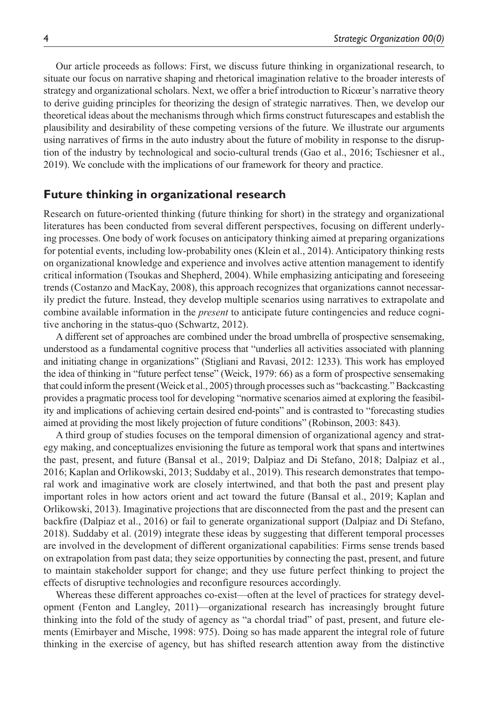Our article proceeds as follows: First, we discuss future thinking in organizational research, to situate our focus on narrative shaping and rhetorical imagination relative to the broader interests of strategy and organizational scholars. Next, we offer a brief introduction to Ricœur's narrative theory to derive guiding principles for theorizing the design of strategic narratives. Then, we develop our theoretical ideas about the mechanisms through which firms construct futurescapes and establish the plausibility and desirability of these competing versions of the future. We illustrate our arguments using narratives of firms in the auto industry about the future of mobility in response to the disruption of the industry by technological and socio-cultural trends (Gao et al., 2016; Tschiesner et al., 2019). We conclude with the implications of our framework for theory and practice.

# **Future thinking in organizational research**

Research on future-oriented thinking (future thinking for short) in the strategy and organizational literatures has been conducted from several different perspectives, focusing on different underlying processes. One body of work focuses on anticipatory thinking aimed at preparing organizations for potential events, including low-probability ones (Klein et al., 2014). Anticipatory thinking rests on organizational knowledge and experience and involves active attention management to identify critical information (Tsoukas and Shepherd, 2004). While emphasizing anticipating and foreseeing trends (Costanzo and MacKay, 2008), this approach recognizes that organizations cannot necessarily predict the future. Instead, they develop multiple scenarios using narratives to extrapolate and combine available information in the *present* to anticipate future contingencies and reduce cognitive anchoring in the status-quo (Schwartz, 2012).

A different set of approaches are combined under the broad umbrella of prospective sensemaking, understood as a fundamental cognitive process that "underlies all activities associated with planning and initiating change in organizations" (Stigliani and Ravasi, 2012: 1233). This work has employed the idea of thinking in "future perfect tense" (Weick, 1979: 66) as a form of prospective sensemaking that could inform the present (Weick et al., 2005) through processes such as "backcasting." Backcasting provides a pragmatic process tool for developing "normative scenarios aimed at exploring the feasibility and implications of achieving certain desired end-points" and is contrasted to "forecasting studies aimed at providing the most likely projection of future conditions" (Robinson, 2003: 843).

A third group of studies focuses on the temporal dimension of organizational agency and strategy making, and conceptualizes envisioning the future as temporal work that spans and intertwines the past, present, and future (Bansal et al., 2019; Dalpiaz and Di Stefano, 2018; Dalpiaz et al., 2016; Kaplan and Orlikowski, 2013; Suddaby et al., 2019). This research demonstrates that temporal work and imaginative work are closely intertwined, and that both the past and present play important roles in how actors orient and act toward the future (Bansal et al., 2019; Kaplan and Orlikowski, 2013). Imaginative projections that are disconnected from the past and the present can backfire (Dalpiaz et al., 2016) or fail to generate organizational support (Dalpiaz and Di Stefano, 2018). Suddaby et al. (2019) integrate these ideas by suggesting that different temporal processes are involved in the development of different organizational capabilities: Firms sense trends based on extrapolation from past data; they seize opportunities by connecting the past, present, and future to maintain stakeholder support for change; and they use future perfect thinking to project the effects of disruptive technologies and reconfigure resources accordingly.

Whereas these different approaches co-exist—often at the level of practices for strategy development (Fenton and Langley, 2011)—organizational research has increasingly brought future thinking into the fold of the study of agency as "a chordal triad" of past, present, and future elements (Emirbayer and Mische, 1998: 975). Doing so has made apparent the integral role of future thinking in the exercise of agency, but has shifted research attention away from the distinctive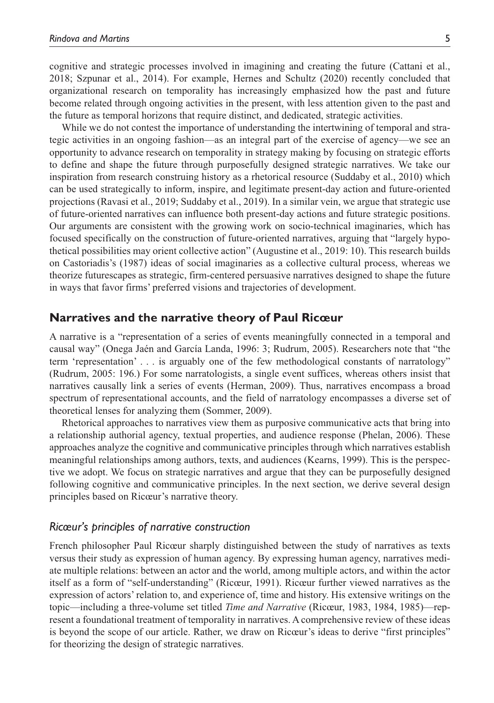cognitive and strategic processes involved in imagining and creating the future (Cattani et al., 2018; Szpunar et al., 2014). For example, Hernes and Schultz (2020) recently concluded that organizational research on temporality has increasingly emphasized how the past and future become related through ongoing activities in the present, with less attention given to the past and the future as temporal horizons that require distinct, and dedicated, strategic activities.

While we do not contest the importance of understanding the intertwining of temporal and strategic activities in an ongoing fashion—as an integral part of the exercise of agency—we see an opportunity to advance research on temporality in strategy making by focusing on strategic efforts to define and shape the future through purposefully designed strategic narratives. We take our inspiration from research construing history as a rhetorical resource (Suddaby et al., 2010) which can be used strategically to inform, inspire, and legitimate present-day action and future-oriented projections (Ravasi et al., 2019; Suddaby et al., 2019). In a similar vein, we argue that strategic use of future-oriented narratives can influence both present-day actions and future strategic positions. Our arguments are consistent with the growing work on socio-technical imaginaries, which has focused specifically on the construction of future-oriented narratives, arguing that "largely hypothetical possibilities may orient collective action" (Augustine et al., 2019: 10). This research builds on Castoriadis's (1987) ideas of social imaginaries as a collective cultural process, whereas we theorize futurescapes as strategic, firm-centered persuasive narratives designed to shape the future in ways that favor firms' preferred visions and trajectories of development.

### **Narratives and the narrative theory of Paul Ricœur**

A narrative is a "representation of a series of events meaningfully connected in a temporal and causal way" (Onega Jaén and García Landa, 1996: 3; Rudrum, 2005). Researchers note that "the term 'representation' . . . is arguably one of the few methodological constants of narratology" (Rudrum, 2005: 196.) For some narratologists, a single event suffices, whereas others insist that narratives causally link a series of events (Herman, 2009). Thus, narratives encompass a broad spectrum of representational accounts, and the field of narratology encompasses a diverse set of theoretical lenses for analyzing them (Sommer, 2009).

Rhetorical approaches to narratives view them as purposive communicative acts that bring into a relationship authorial agency, textual properties, and audience response (Phelan, 2006). These approaches analyze the cognitive and communicative principles through which narratives establish meaningful relationships among authors, texts, and audiences (Kearns, 1999). This is the perspective we adopt. We focus on strategic narratives and argue that they can be purposefully designed following cognitive and communicative principles. In the next section, we derive several design principles based on Ricœur's narrative theory.

### *Ricœur's principles of narrative construction*

French philosopher Paul Ricœur sharply distinguished between the study of narratives as texts versus their study as expression of human agency. By expressing human agency, narratives mediate multiple relations: between an actor and the world, among multiple actors, and within the actor itself as a form of "self-understanding" (Ricœur, 1991). Ricœur further viewed narratives as the expression of actors' relation to, and experience of, time and history. His extensive writings on the topic—including a three-volume set titled *Time and Narrative* (Ricœur, 1983, 1984, 1985)—represent a foundational treatment of temporality in narratives. A comprehensive review of these ideas is beyond the scope of our article. Rather, we draw on Ricœur's ideas to derive "first principles" for theorizing the design of strategic narratives.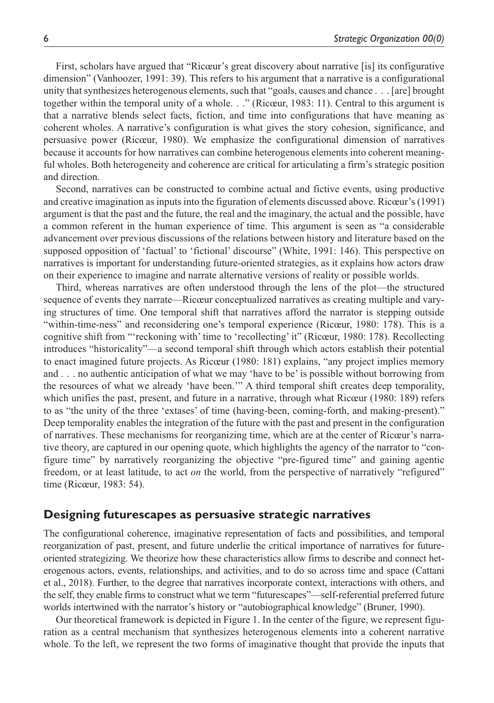First, scholars have argued that "Ricœur's great discovery about narrative [is] its configurative dimension" (Vanhoozer, 1991: 39). This refers to his argument that a narrative is a configurational unity that synthesizes heterogenous elements, such that "goals, causes and chance . . . [are] brought together within the temporal unity of a whole. . ." (Ricœur, 1983: 11). Central to this argument is that a narrative blends select facts, fiction, and time into configurations that have meaning as coherent wholes. A narrative's configuration is what gives the story cohesion, significance, and persuasive power (Ricœur, 1980). We emphasize the configurational dimension of narratives because it accounts for how narratives can combine heterogenous elements into coherent meaningful wholes. Both heterogeneity and coherence are critical for articulating a firm's strategic position and direction.

Second, narratives can be constructed to combine actual and fictive events, using productive and creative imagination as inputs into the figuration of elements discussed above. Ricœur's (1991) argument is that the past and the future, the real and the imaginary, the actual and the possible, have a common referent in the human experience of time. This argument is seen as "a considerable advancement over previous discussions of the relations between history and literature based on the supposed opposition of 'factual' to 'fictional' discourse" (White, 1991: 146). This perspective on narratives is important for understanding future-oriented strategies, as it explains how actors draw on their experience to imagine and narrate alternative versions of reality or possible worlds.

Third, whereas narratives are often understood through the lens of the plot—the structured sequence of events they narrate—Ricœur conceptualized narratives as creating multiple and varying structures of time. One temporal shift that narratives afford the narrator is stepping outside "within-time-ness" and reconsidering one's temporal experience (Ricœur, 1980: 178). This is a cognitive shift from "'reckoning with' time to 'recollecting' it" (Ricœur, 1980: 178). Recollecting introduces "historicality"—a second temporal shift through which actors establish their potential to enact imagined future projects. As Ricœur (1980: 181) explains, "any project implies memory and . . . no authentic anticipation of what we may 'have to be' is possible without borrowing from the resources of what we already 'have been.'" A third temporal shift creates deep temporality, which unifies the past, present, and future in a narrative, through what Ricœur (1980: 189) refers to as "the unity of the three 'extases' of time (having-been, coming-forth, and making-present)." Deep temporality enables the integration of the future with the past and present in the configuration of narratives. These mechanisms for reorganizing time, which are at the center of Ricœur's narrative theory, are captured in our opening quote, which highlights the agency of the narrator to "configure time" by narratively reorganizing the objective "pre-figured time" and gaining agentic freedom, or at least latitude, to act *on* the world, from the perspective of narratively "refigured" time (Ricœur, 1983: 54).

# **Designing futurescapes as persuasive strategic narratives**

The configurational coherence, imaginative representation of facts and possibilities, and temporal reorganization of past, present, and future underlie the critical importance of narratives for futureoriented strategizing. We theorize how these characteristics allow firms to describe and connect heterogenous actors, events, relationships, and activities, and to do so across time and space (Cattani et al., 2018). Further, to the degree that narratives incorporate context, interactions with others, and the self, they enable firms to construct what we term "futurescapes"—self-referential preferred future worlds intertwined with the narrator's history or "autobiographical knowledge" (Bruner, 1990).

Our theoretical framework is depicted in Figure 1. In the center of the figure, we represent figuration as a central mechanism that synthesizes heterogenous elements into a coherent narrative whole. To the left, we represent the two forms of imaginative thought that provide the inputs that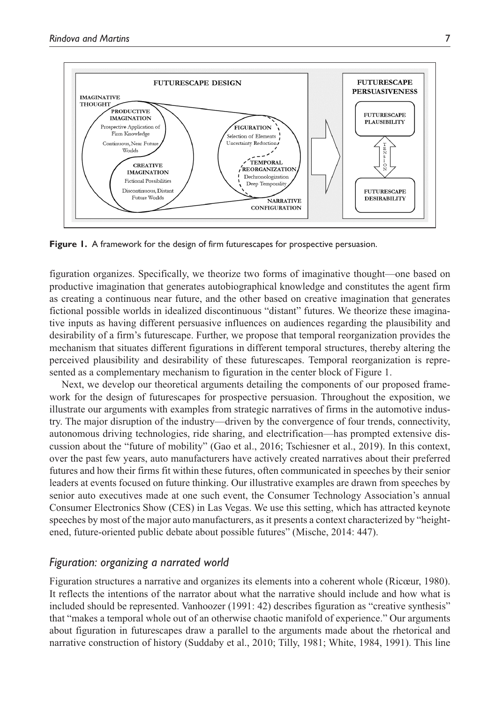

**Figure 1.** A framework for the design of firm futurescapes for prospective persuasion.

figuration organizes. Specifically, we theorize two forms of imaginative thought—one based on productive imagination that generates autobiographical knowledge and constitutes the agent firm as creating a continuous near future, and the other based on creative imagination that generates fictional possible worlds in idealized discontinuous "distant" futures. We theorize these imaginative inputs as having different persuasive influences on audiences regarding the plausibility and desirability of a firm's futurescape. Further, we propose that temporal reorganization provides the mechanism that situates different figurations in different temporal structures, thereby altering the perceived plausibility and desirability of these futurescapes. Temporal reorganization is represented as a complementary mechanism to figuration in the center block of Figure 1.

Next, we develop our theoretical arguments detailing the components of our proposed framework for the design of futurescapes for prospective persuasion. Throughout the exposition, we illustrate our arguments with examples from strategic narratives of firms in the automotive industry. The major disruption of the industry—driven by the convergence of four trends, connectivity, autonomous driving technologies, ride sharing, and electrification—has prompted extensive discussion about the "future of mobility" (Gao et al., 2016; Tschiesner et al., 2019). In this context, over the past few years, auto manufacturers have actively created narratives about their preferred futures and how their firms fit within these futures, often communicated in speeches by their senior leaders at events focused on future thinking. Our illustrative examples are drawn from speeches by senior auto executives made at one such event, the Consumer Technology Association's annual Consumer Electronics Show (CES) in Las Vegas. We use this setting, which has attracted keynote speeches by most of the major auto manufacturers, as it presents a context characterized by "heightened, future-oriented public debate about possible futures" (Mische, 2014: 447).

### *Figuration: organizing a narrated world*

Figuration structures a narrative and organizes its elements into a coherent whole (Ricœur, 1980). It reflects the intentions of the narrator about what the narrative should include and how what is included should be represented. Vanhoozer (1991: 42) describes figuration as "creative synthesis" that "makes a temporal whole out of an otherwise chaotic manifold of experience." Our arguments about figuration in futurescapes draw a parallel to the arguments made about the rhetorical and narrative construction of history (Suddaby et al., 2010; Tilly, 1981; White, 1984, 1991). This line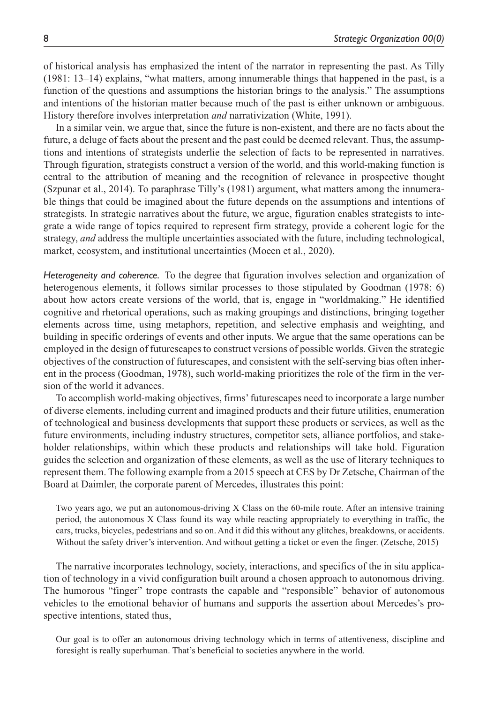of historical analysis has emphasized the intent of the narrator in representing the past. As Tilly (1981: 13–14) explains, "what matters, among innumerable things that happened in the past, is a function of the questions and assumptions the historian brings to the analysis." The assumptions and intentions of the historian matter because much of the past is either unknown or ambiguous. History therefore involves interpretation *and* narrativization (White, 1991).

In a similar vein, we argue that, since the future is non-existent, and there are no facts about the future, a deluge of facts about the present and the past could be deemed relevant. Thus, the assumptions and intentions of strategists underlie the selection of facts to be represented in narratives. Through figuration, strategists construct a version of the world, and this world-making function is central to the attribution of meaning and the recognition of relevance in prospective thought (Szpunar et al., 2014). To paraphrase Tilly's (1981) argument, what matters among the innumerable things that could be imagined about the future depends on the assumptions and intentions of strategists. In strategic narratives about the future, we argue, figuration enables strategists to integrate a wide range of topics required to represent firm strategy, provide a coherent logic for the strategy, *and* address the multiple uncertainties associated with the future, including technological, market, ecosystem, and institutional uncertainties (Moeen et al., 2020).

*Heterogeneity and coherence.* To the degree that figuration involves selection and organization of heterogenous elements, it follows similar processes to those stipulated by Goodman (1978: 6) about how actors create versions of the world, that is, engage in "worldmaking." He identified cognitive and rhetorical operations, such as making groupings and distinctions, bringing together elements across time, using metaphors, repetition, and selective emphasis and weighting, and building in specific orderings of events and other inputs. We argue that the same operations can be employed in the design of futurescapes to construct versions of possible worlds. Given the strategic objectives of the construction of futurescapes, and consistent with the self-serving bias often inherent in the process (Goodman, 1978), such world-making prioritizes the role of the firm in the version of the world it advances.

To accomplish world-making objectives, firms' futurescapes need to incorporate a large number of diverse elements, including current and imagined products and their future utilities, enumeration of technological and business developments that support these products or services, as well as the future environments, including industry structures, competitor sets, alliance portfolios, and stakeholder relationships, within which these products and relationships will take hold. Figuration guides the selection and organization of these elements, as well as the use of literary techniques to represent them. The following example from a 2015 speech at CES by Dr Zetsche, Chairman of the Board at Daimler, the corporate parent of Mercedes, illustrates this point:

Two years ago, we put an autonomous-driving X Class on the 60-mile route. After an intensive training period, the autonomous X Class found its way while reacting appropriately to everything in traffic, the cars, trucks, bicycles, pedestrians and so on. And it did this without any glitches, breakdowns, or accidents. Without the safety driver's intervention. And without getting a ticket or even the finger. (Zetsche, 2015)

The narrative incorporates technology, society, interactions, and specifics of the in situ application of technology in a vivid configuration built around a chosen approach to autonomous driving. The humorous "finger" trope contrasts the capable and "responsible" behavior of autonomous vehicles to the emotional behavior of humans and supports the assertion about Mercedes's prospective intentions, stated thus,

Our goal is to offer an autonomous driving technology which in terms of attentiveness, discipline and foresight is really superhuman. That's beneficial to societies anywhere in the world.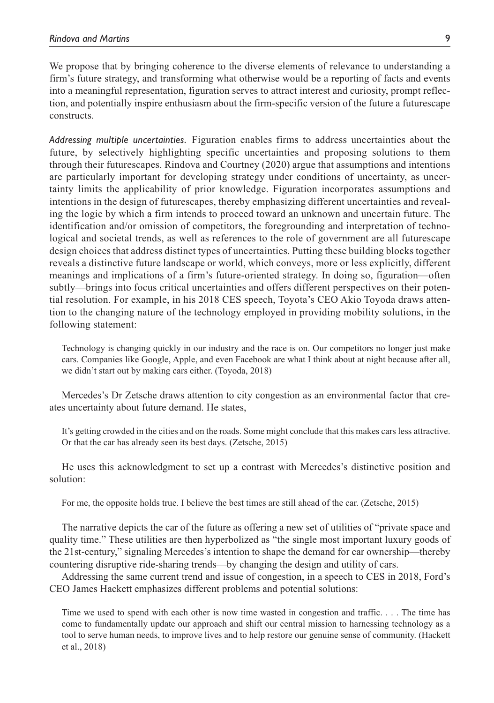We propose that by bringing coherence to the diverse elements of relevance to understanding a firm's future strategy, and transforming what otherwise would be a reporting of facts and events into a meaningful representation, figuration serves to attract interest and curiosity, prompt reflection, and potentially inspire enthusiasm about the firm-specific version of the future a futurescape constructs.

*Addressing multiple uncertainties.* Figuration enables firms to address uncertainties about the future, by selectively highlighting specific uncertainties and proposing solutions to them through their futurescapes. Rindova and Courtney (2020) argue that assumptions and intentions are particularly important for developing strategy under conditions of uncertainty, as uncertainty limits the applicability of prior knowledge. Figuration incorporates assumptions and intentions in the design of futurescapes, thereby emphasizing different uncertainties and revealing the logic by which a firm intends to proceed toward an unknown and uncertain future. The identification and/or omission of competitors, the foregrounding and interpretation of technological and societal trends, as well as references to the role of government are all futurescape design choices that address distinct types of uncertainties. Putting these building blocks together reveals a distinctive future landscape or world, which conveys, more or less explicitly, different meanings and implications of a firm's future-oriented strategy. In doing so, figuration—often subtly—brings into focus critical uncertainties and offers different perspectives on their potential resolution. For example, in his 2018 CES speech, Toyota's CEO Akio Toyoda draws attention to the changing nature of the technology employed in providing mobility solutions, in the following statement:

Technology is changing quickly in our industry and the race is on. Our competitors no longer just make cars. Companies like Google, Apple, and even Facebook are what I think about at night because after all, we didn't start out by making cars either. (Toyoda, 2018)

Mercedes's Dr Zetsche draws attention to city congestion as an environmental factor that creates uncertainty about future demand. He states,

It's getting crowded in the cities and on the roads. Some might conclude that this makes cars less attractive. Or that the car has already seen its best days. (Zetsche, 2015)

He uses this acknowledgment to set up a contrast with Mercedes's distinctive position and solution:

For me, the opposite holds true. I believe the best times are still ahead of the car. (Zetsche, 2015)

The narrative depicts the car of the future as offering a new set of utilities of "private space and quality time." These utilities are then hyperbolized as "the single most important luxury goods of the 21st-century," signaling Mercedes's intention to shape the demand for car ownership—thereby countering disruptive ride-sharing trends—by changing the design and utility of cars.

Addressing the same current trend and issue of congestion, in a speech to CES in 2018, Ford's CEO James Hackett emphasizes different problems and potential solutions:

Time we used to spend with each other is now time wasted in congestion and traffic. . . . The time has come to fundamentally update our approach and shift our central mission to harnessing technology as a tool to serve human needs, to improve lives and to help restore our genuine sense of community. (Hackett et al., 2018)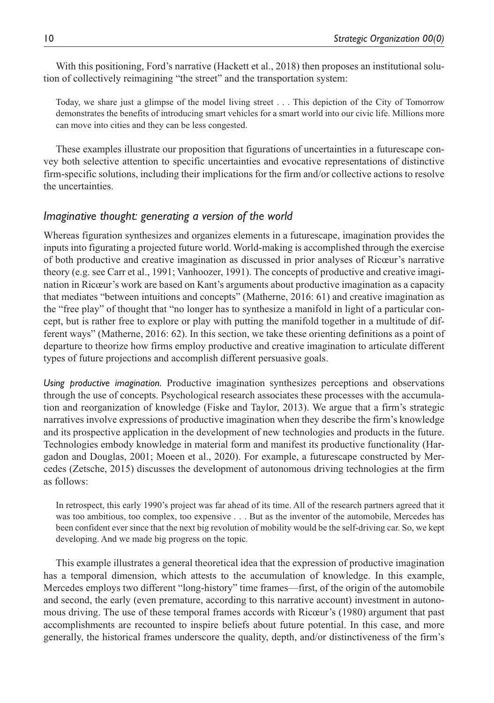With this positioning, Ford's narrative (Hackett et al., 2018) then proposes an institutional solution of collectively reimagining "the street" and the transportation system:

Today, we share just a glimpse of the model living street . . . This depiction of the City of Tomorrow demonstrates the benefits of introducing smart vehicles for a smart world into our civic life. Millions more can move into cities and they can be less congested.

These examples illustrate our proposition that figurations of uncertainties in a futurescape convey both selective attention to specific uncertainties and evocative representations of distinctive firm-specific solutions, including their implications for the firm and/or collective actions to resolve the uncertainties.

# *Imaginative thought: generating a version of the world*

Whereas figuration synthesizes and organizes elements in a futurescape, imagination provides the inputs into figurating a projected future world. World-making is accomplished through the exercise of both productive and creative imagination as discussed in prior analyses of Ricœur's narrative theory (e.g. see Carr et al., 1991; Vanhoozer, 1991). The concepts of productive and creative imagination in Ricœur's work are based on Kant's arguments about productive imagination as a capacity that mediates "between intuitions and concepts" (Matherne, 2016: 61) and creative imagination as the "free play" of thought that "no longer has to synthesize a manifold in light of a particular concept, but is rather free to explore or play with putting the manifold together in a multitude of different ways" (Matherne, 2016: 62). In this section, we take these orienting definitions as a point of departure to theorize how firms employ productive and creative imagination to articulate different types of future projections and accomplish different persuasive goals.

*Using productive imagination.* Productive imagination synthesizes perceptions and observations through the use of concepts. Psychological research associates these processes with the accumulation and reorganization of knowledge (Fiske and Taylor, 2013). We argue that a firm's strategic narratives involve expressions of productive imagination when they describe the firm's knowledge and its prospective application in the development of new technologies and products in the future. Technologies embody knowledge in material form and manifest its productive functionality (Hargadon and Douglas, 2001; Moeen et al., 2020). For example, a futurescape constructed by Mercedes (Zetsche, 2015) discusses the development of autonomous driving technologies at the firm as follows:

In retrospect, this early 1990's project was far ahead of its time. All of the research partners agreed that it was too ambitious, too complex, too expensive . . . But as the inventor of the automobile, Mercedes has been confident ever since that the next big revolution of mobility would be the self-driving car. So, we kept developing. And we made big progress on the topic.

This example illustrates a general theoretical idea that the expression of productive imagination has a temporal dimension, which attests to the accumulation of knowledge. In this example, Mercedes employs two different "long-history" time frames—first, of the origin of the automobile and second, the early (even premature, according to this narrative account) investment in autonomous driving. The use of these temporal frames accords with Ricœur's (1980) argument that past accomplishments are recounted to inspire beliefs about future potential. In this case, and more generally, the historical frames underscore the quality, depth, and/or distinctiveness of the firm's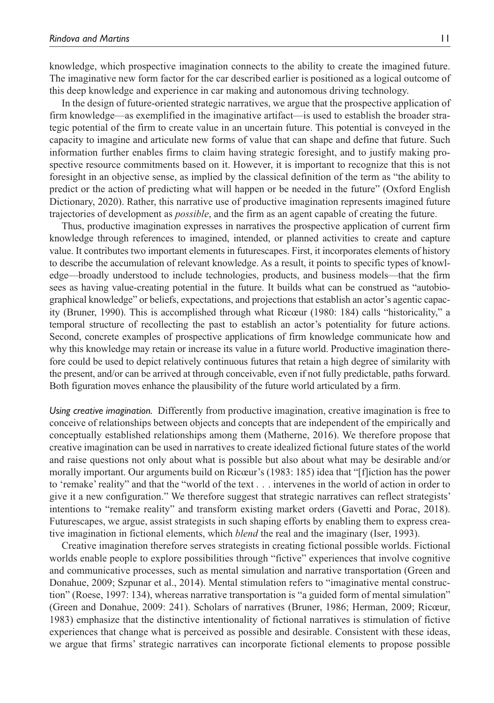knowledge, which prospective imagination connects to the ability to create the imagined future. The imaginative new form factor for the car described earlier is positioned as a logical outcome of this deep knowledge and experience in car making and autonomous driving technology.

In the design of future-oriented strategic narratives, we argue that the prospective application of firm knowledge—as exemplified in the imaginative artifact—is used to establish the broader strategic potential of the firm to create value in an uncertain future. This potential is conveyed in the capacity to imagine and articulate new forms of value that can shape and define that future. Such information further enables firms to claim having strategic foresight, and to justify making prospective resource commitments based on it. However, it is important to recognize that this is not foresight in an objective sense, as implied by the classical definition of the term as "the ability to predict or the action of predicting what will happen or be needed in the future" (Oxford English Dictionary, 2020). Rather, this narrative use of productive imagination represents imagined future trajectories of development as *possible*, and the firm as an agent capable of creating the future.

Thus, productive imagination expresses in narratives the prospective application of current firm knowledge through references to imagined, intended, or planned activities to create and capture value. It contributes two important elements in futurescapes. First, it incorporates elements of history to describe the accumulation of relevant knowledge. As a result, it points to specific types of knowledge—broadly understood to include technologies, products, and business models—that the firm sees as having value-creating potential in the future. It builds what can be construed as "autobiographical knowledge" or beliefs, expectations, and projections that establish an actor's agentic capacity (Bruner, 1990). This is accomplished through what Ricœur (1980: 184) calls "historicality," a temporal structure of recollecting the past to establish an actor's potentiality for future actions. Second, concrete examples of prospective applications of firm knowledge communicate how and why this knowledge may retain or increase its value in a future world. Productive imagination therefore could be used to depict relatively continuous futures that retain a high degree of similarity with the present, and/or can be arrived at through conceivable, even if not fully predictable, paths forward. Both figuration moves enhance the plausibility of the future world articulated by a firm.

*Using creative imagination.* Differently from productive imagination, creative imagination is free to conceive of relationships between objects and concepts that are independent of the empirically and conceptually established relationships among them (Matherne, 2016). We therefore propose that creative imagination can be used in narratives to create idealized fictional future states of the world and raise questions not only about what is possible but also about what may be desirable and/or morally important. Our arguments build on Ricœur's (1983: 185) idea that "[f]iction has the power to 'remake' reality" and that the "world of the text . . . intervenes in the world of action in order to give it a new configuration." We therefore suggest that strategic narratives can reflect strategists' intentions to "remake reality" and transform existing market orders (Gavetti and Porac, 2018). Futurescapes, we argue, assist strategists in such shaping efforts by enabling them to express creative imagination in fictional elements, which *blend* the real and the imaginary (Iser, 1993).

Creative imagination therefore serves strategists in creating fictional possible worlds. Fictional worlds enable people to explore possibilities through "fictive" experiences that involve cognitive and communicative processes, such as mental simulation and narrative transportation (Green and Donahue, 2009; Szpunar et al., 2014). Mental stimulation refers to "imaginative mental construction" (Roese, 1997: 134), whereas narrative transportation is "a guided form of mental simulation" (Green and Donahue, 2009: 241). Scholars of narratives (Bruner, 1986; Herman, 2009; Ricœur, 1983) emphasize that the distinctive intentionality of fictional narratives is stimulation of fictive experiences that change what is perceived as possible and desirable. Consistent with these ideas, we argue that firms' strategic narratives can incorporate fictional elements to propose possible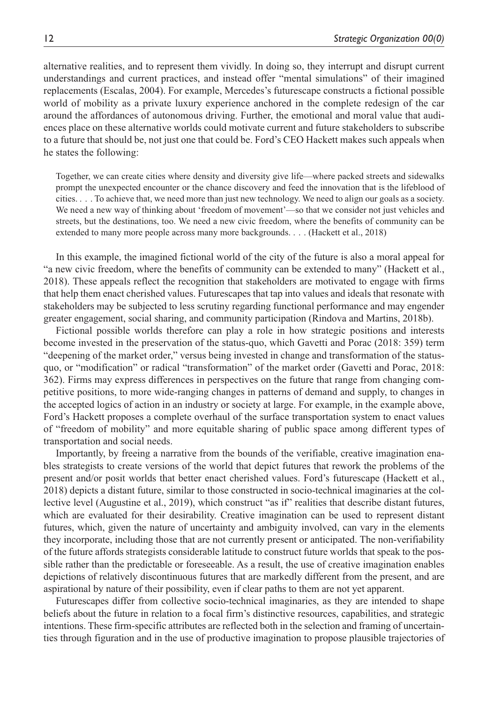alternative realities, and to represent them vividly. In doing so, they interrupt and disrupt current understandings and current practices, and instead offer "mental simulations" of their imagined replacements (Escalas, 2004). For example, Mercedes's futurescape constructs a fictional possible world of mobility as a private luxury experience anchored in the complete redesign of the car around the affordances of autonomous driving. Further, the emotional and moral value that audiences place on these alternative worlds could motivate current and future stakeholders to subscribe to a future that should be, not just one that could be. Ford's CEO Hackett makes such appeals when he states the following:

Together, we can create cities where density and diversity give life—where packed streets and sidewalks prompt the unexpected encounter or the chance discovery and feed the innovation that is the lifeblood of cities. . . . To achieve that, we need more than just new technology. We need to align our goals as a society. We need a new way of thinking about 'freedom of movement'—so that we consider not just vehicles and streets, but the destinations, too. We need a new civic freedom, where the benefits of community can be extended to many more people across many more backgrounds. . . . (Hackett et al., 2018)

In this example, the imagined fictional world of the city of the future is also a moral appeal for "a new civic freedom, where the benefits of community can be extended to many" (Hackett et al., 2018). These appeals reflect the recognition that stakeholders are motivated to engage with firms that help them enact cherished values. Futurescapes that tap into values and ideals that resonate with stakeholders may be subjected to less scrutiny regarding functional performance and may engender greater engagement, social sharing, and community participation (Rindova and Martins, 2018b).

Fictional possible worlds therefore can play a role in how strategic positions and interests become invested in the preservation of the status-quo, which Gavetti and Porac (2018: 359) term "deepening of the market order," versus being invested in change and transformation of the statusquo, or "modification" or radical "transformation" of the market order (Gavetti and Porac, 2018: 362). Firms may express differences in perspectives on the future that range from changing competitive positions, to more wide-ranging changes in patterns of demand and supply, to changes in the accepted logics of action in an industry or society at large. For example, in the example above, Ford's Hackett proposes a complete overhaul of the surface transportation system to enact values of "freedom of mobility" and more equitable sharing of public space among different types of transportation and social needs.

Importantly, by freeing a narrative from the bounds of the verifiable, creative imagination enables strategists to create versions of the world that depict futures that rework the problems of the present and/or posit worlds that better enact cherished values. Ford's futurescape (Hackett et al., 2018) depicts a distant future, similar to those constructed in socio-technical imaginaries at the collective level (Augustine et al., 2019), which construct "as if" realities that describe distant futures, which are evaluated for their desirability. Creative imagination can be used to represent distant futures, which, given the nature of uncertainty and ambiguity involved, can vary in the elements they incorporate, including those that are not currently present or anticipated. The non-verifiability of the future affords strategists considerable latitude to construct future worlds that speak to the possible rather than the predictable or foreseeable. As a result, the use of creative imagination enables depictions of relatively discontinuous futures that are markedly different from the present, and are aspirational by nature of their possibility, even if clear paths to them are not yet apparent.

Futurescapes differ from collective socio-technical imaginaries, as they are intended to shape beliefs about the future in relation to a focal firm's distinctive resources, capabilities, and strategic intentions. These firm-specific attributes are reflected both in the selection and framing of uncertainties through figuration and in the use of productive imagination to propose plausible trajectories of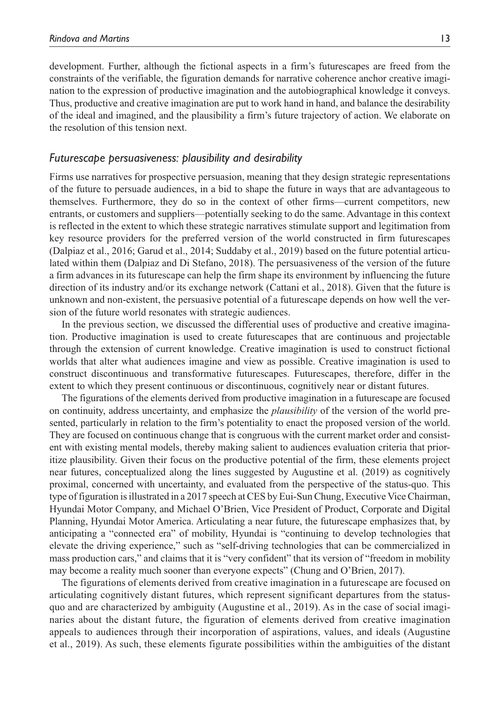development. Further, although the fictional aspects in a firm's futurescapes are freed from the constraints of the verifiable, the figuration demands for narrative coherence anchor creative imagination to the expression of productive imagination and the autobiographical knowledge it conveys. Thus, productive and creative imagination are put to work hand in hand, and balance the desirability of the ideal and imagined, and the plausibility a firm's future trajectory of action. We elaborate on the resolution of this tension next.

#### *Futurescape persuasiveness: plausibility and desirability*

Firms use narratives for prospective persuasion, meaning that they design strategic representations of the future to persuade audiences, in a bid to shape the future in ways that are advantageous to themselves. Furthermore, they do so in the context of other firms—current competitors, new entrants, or customers and suppliers—potentially seeking to do the same. Advantage in this context is reflected in the extent to which these strategic narratives stimulate support and legitimation from key resource providers for the preferred version of the world constructed in firm futurescapes (Dalpiaz et al., 2016; Garud et al., 2014; Suddaby et al., 2019) based on the future potential articulated within them (Dalpiaz and Di Stefano, 2018). The persuasiveness of the version of the future a firm advances in its futurescape can help the firm shape its environment by influencing the future direction of its industry and/or its exchange network (Cattani et al., 2018). Given that the future is unknown and non-existent, the persuasive potential of a futurescape depends on how well the version of the future world resonates with strategic audiences.

In the previous section, we discussed the differential uses of productive and creative imagination. Productive imagination is used to create futurescapes that are continuous and projectable through the extension of current knowledge. Creative imagination is used to construct fictional worlds that alter what audiences imagine and view as possible. Creative imagination is used to construct discontinuous and transformative futurescapes. Futurescapes, therefore, differ in the extent to which they present continuous or discontinuous, cognitively near or distant futures.

The figurations of the elements derived from productive imagination in a futurescape are focused on continuity, address uncertainty, and emphasize the *plausibility* of the version of the world presented, particularly in relation to the firm's potentiality to enact the proposed version of the world. They are focused on continuous change that is congruous with the current market order and consistent with existing mental models, thereby making salient to audiences evaluation criteria that prioritize plausibility. Given their focus on the productive potential of the firm, these elements project near futures, conceptualized along the lines suggested by Augustine et al. (2019) as cognitively proximal, concerned with uncertainty, and evaluated from the perspective of the status-quo. This type of figuration is illustrated in a 2017 speech at CES by Eui-Sun Chung, Executive Vice Chairman, Hyundai Motor Company, and Michael O'Brien, Vice President of Product, Corporate and Digital Planning, Hyundai Motor America. Articulating a near future, the futurescape emphasizes that, by anticipating a "connected era" of mobility, Hyundai is "continuing to develop technologies that elevate the driving experience," such as "self-driving technologies that can be commercialized in mass production cars," and claims that it is "very confident" that its version of "freedom in mobility may become a reality much sooner than everyone expects" (Chung and O'Brien, 2017).

The figurations of elements derived from creative imagination in a futurescape are focused on articulating cognitively distant futures, which represent significant departures from the statusquo and are characterized by ambiguity (Augustine et al., 2019). As in the case of social imaginaries about the distant future, the figuration of elements derived from creative imagination appeals to audiences through their incorporation of aspirations, values, and ideals (Augustine et al., 2019). As such, these elements figurate possibilities within the ambiguities of the distant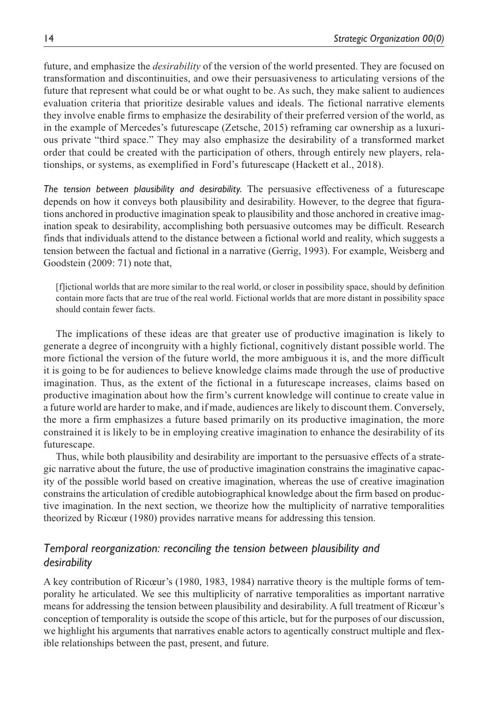future, and emphasize the *desirability* of the version of the world presented. They are focused on transformation and discontinuities, and owe their persuasiveness to articulating versions of the future that represent what could be or what ought to be. As such, they make salient to audiences evaluation criteria that prioritize desirable values and ideals. The fictional narrative elements they involve enable firms to emphasize the desirability of their preferred version of the world, as in the example of Mercedes's futurescape (Zetsche, 2015) reframing car ownership as a luxurious private "third space." They may also emphasize the desirability of a transformed market order that could be created with the participation of others, through entirely new players, relationships, or systems, as exemplified in Ford's futurescape (Hackett et al., 2018).

*The tension between plausibility and desirability.* The persuasive effectiveness of a futurescape depends on how it conveys both plausibility and desirability. However, to the degree that figurations anchored in productive imagination speak to plausibility and those anchored in creative imagination speak to desirability, accomplishing both persuasive outcomes may be difficult. Research finds that individuals attend to the distance between a fictional world and reality, which suggests a tension between the factual and fictional in a narrative (Gerrig, 1993). For example, Weisberg and Goodstein (2009: 71) note that,

[f]ictional worlds that are more similar to the real world, or closer in possibility space, should by definition contain more facts that are true of the real world. Fictional worlds that are more distant in possibility space should contain fewer facts.

The implications of these ideas are that greater use of productive imagination is likely to generate a degree of incongruity with a highly fictional, cognitively distant possible world. The more fictional the version of the future world, the more ambiguous it is, and the more difficult it is going to be for audiences to believe knowledge claims made through the use of productive imagination. Thus, as the extent of the fictional in a futurescape increases, claims based on productive imagination about how the firm's current knowledge will continue to create value in a future world are harder to make, and if made, audiences are likely to discount them. Conversely, the more a firm emphasizes a future based primarily on its productive imagination, the more constrained it is likely to be in employing creative imagination to enhance the desirability of its futurescape.

Thus, while both plausibility and desirability are important to the persuasive effects of a strategic narrative about the future, the use of productive imagination constrains the imaginative capacity of the possible world based on creative imagination, whereas the use of creative imagination constrains the articulation of credible autobiographical knowledge about the firm based on productive imagination. In the next section, we theorize how the multiplicity of narrative temporalities theorized by Ricœur (1980) provides narrative means for addressing this tension.

# *Temporal reorganization: reconciling the tension between plausibility and desirability*

A key contribution of Ricœur's (1980, 1983, 1984) narrative theory is the multiple forms of temporality he articulated. We see this multiplicity of narrative temporalities as important narrative means for addressing the tension between plausibility and desirability. A full treatment of Ricœur's conception of temporality is outside the scope of this article, but for the purposes of our discussion, we highlight his arguments that narratives enable actors to agentically construct multiple and flexible relationships between the past, present, and future.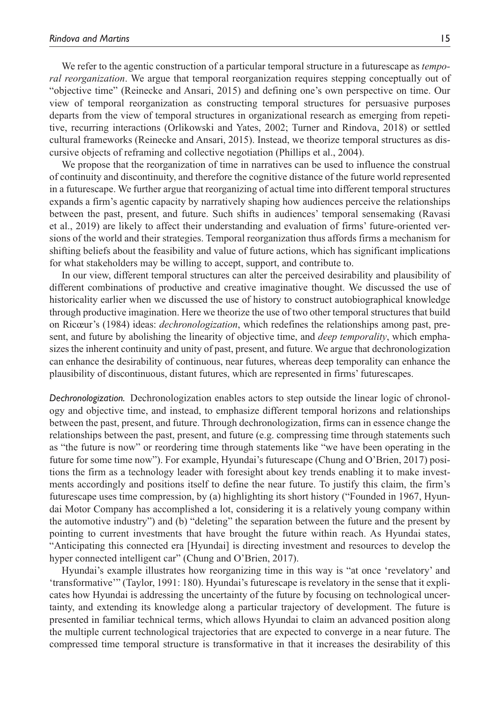We refer to the agentic construction of a particular temporal structure in a futurescape as *temporal reorganization*. We argue that temporal reorganization requires stepping conceptually out of "objective time" (Reinecke and Ansari, 2015) and defining one's own perspective on time. Our view of temporal reorganization as constructing temporal structures for persuasive purposes departs from the view of temporal structures in organizational research as emerging from repetitive, recurring interactions (Orlikowski and Yates, 2002; Turner and Rindova, 2018) or settled cultural frameworks (Reinecke and Ansari, 2015). Instead, we theorize temporal structures as discursive objects of reframing and collective negotiation (Phillips et al., 2004).

We propose that the reorganization of time in narratives can be used to influence the construal of continuity and discontinuity, and therefore the cognitive distance of the future world represented in a futurescape. We further argue that reorganizing of actual time into different temporal structures expands a firm's agentic capacity by narratively shaping how audiences perceive the relationships between the past, present, and future. Such shifts in audiences' temporal sensemaking (Ravasi et al., 2019) are likely to affect their understanding and evaluation of firms' future-oriented versions of the world and their strategies. Temporal reorganization thus affords firms a mechanism for shifting beliefs about the feasibility and value of future actions, which has significant implications for what stakeholders may be willing to accept, support, and contribute to.

In our view, different temporal structures can alter the perceived desirability and plausibility of different combinations of productive and creative imaginative thought. We discussed the use of historicality earlier when we discussed the use of history to construct autobiographical knowledge through productive imagination. Here we theorize the use of two other temporal structures that build on Ricœur's (1984) ideas: *dechronologization*, which redefines the relationships among past, present, and future by abolishing the linearity of objective time, and *deep temporality*, which emphasizes the inherent continuity and unity of past, present, and future. We argue that dechronologization can enhance the desirability of continuous, near futures, whereas deep temporality can enhance the plausibility of discontinuous, distant futures, which are represented in firms' futurescapes.

*Dechronologization.* Dechronologization enables actors to step outside the linear logic of chronology and objective time, and instead, to emphasize different temporal horizons and relationships between the past, present, and future. Through dechronologization, firms can in essence change the relationships between the past, present, and future (e.g. compressing time through statements such as "the future is now" or reordering time through statements like "we have been operating in the future for some time now"). For example, Hyundai's futurescape (Chung and O'Brien, 2017) positions the firm as a technology leader with foresight about key trends enabling it to make investments accordingly and positions itself to define the near future. To justify this claim, the firm's futurescape uses time compression, by (a) highlighting its short history ("Founded in 1967, Hyundai Motor Company has accomplished a lot, considering it is a relatively young company within the automotive industry") and (b) "deleting" the separation between the future and the present by pointing to current investments that have brought the future within reach. As Hyundai states, "Anticipating this connected era [Hyundai] is directing investment and resources to develop the hyper connected intelligent car" (Chung and O'Brien, 2017).

Hyundai's example illustrates how reorganizing time in this way is "at once 'revelatory' and 'transformative'" (Taylor, 1991: 180). Hyundai's futurescape is revelatory in the sense that it explicates how Hyundai is addressing the uncertainty of the future by focusing on technological uncertainty, and extending its knowledge along a particular trajectory of development. The future is presented in familiar technical terms, which allows Hyundai to claim an advanced position along the multiple current technological trajectories that are expected to converge in a near future. The compressed time temporal structure is transformative in that it increases the desirability of this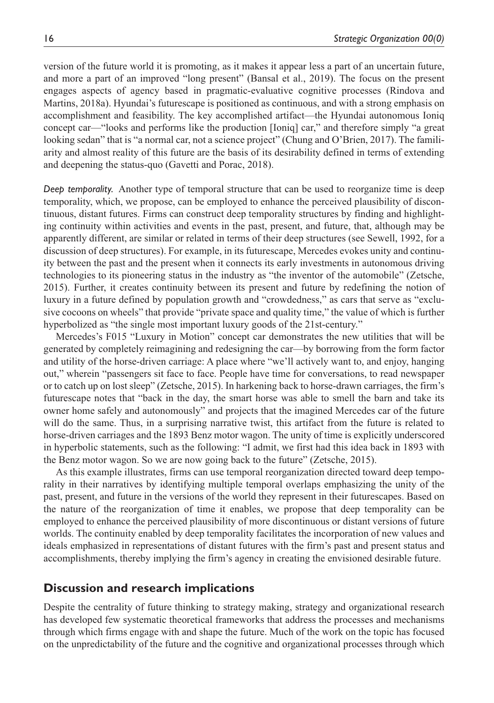version of the future world it is promoting, as it makes it appear less a part of an uncertain future, and more a part of an improved "long present" (Bansal et al., 2019). The focus on the present engages aspects of agency based in pragmatic-evaluative cognitive processes (Rindova and Martins, 2018a). Hyundai's futurescape is positioned as continuous, and with a strong emphasis on accomplishment and feasibility. The key accomplished artifact—the Hyundai autonomous Ioniq concept car—"looks and performs like the production [Ioniq] car," and therefore simply "a great looking sedan" that is "a normal car, not a science project" (Chung and O'Brien, 2017). The familiarity and almost reality of this future are the basis of its desirability defined in terms of extending and deepening the status-quo (Gavetti and Porac, 2018).

*Deep temporality.* Another type of temporal structure that can be used to reorganize time is deep temporality, which, we propose, can be employed to enhance the perceived plausibility of discontinuous, distant futures. Firms can construct deep temporality structures by finding and highlighting continuity within activities and events in the past, present, and future, that, although may be apparently different, are similar or related in terms of their deep structures (see Sewell, 1992, for a discussion of deep structures). For example, in its futurescape, Mercedes evokes unity and continuity between the past and the present when it connects its early investments in autonomous driving technologies to its pioneering status in the industry as "the inventor of the automobile" (Zetsche, 2015). Further, it creates continuity between its present and future by redefining the notion of luxury in a future defined by population growth and "crowdedness," as cars that serve as "exclusive cocoons on wheels" that provide "private space and quality time," the value of which is further hyperbolized as "the single most important luxury goods of the 21st-century."

Mercedes's F015 "Luxury in Motion" concept car demonstrates the new utilities that will be generated by completely reimagining and redesigning the car—by borrowing from the form factor and utility of the horse-driven carriage: A place where "we'll actively want to, and enjoy, hanging out," wherein "passengers sit face to face. People have time for conversations, to read newspaper or to catch up on lost sleep" (Zetsche, 2015). In harkening back to horse-drawn carriages, the firm's futurescape notes that "back in the day, the smart horse was able to smell the barn and take its owner home safely and autonomously" and projects that the imagined Mercedes car of the future will do the same. Thus, in a surprising narrative twist, this artifact from the future is related to horse-driven carriages and the 1893 Benz motor wagon. The unity of time is explicitly underscored in hyperbolic statements, such as the following: "I admit, we first had this idea back in 1893 with the Benz motor wagon. So we are now going back to the future" (Zetsche, 2015).

As this example illustrates, firms can use temporal reorganization directed toward deep temporality in their narratives by identifying multiple temporal overlaps emphasizing the unity of the past, present, and future in the versions of the world they represent in their futurescapes. Based on the nature of the reorganization of time it enables, we propose that deep temporality can be employed to enhance the perceived plausibility of more discontinuous or distant versions of future worlds. The continuity enabled by deep temporality facilitates the incorporation of new values and ideals emphasized in representations of distant futures with the firm's past and present status and accomplishments, thereby implying the firm's agency in creating the envisioned desirable future.

# **Discussion and research implications**

Despite the centrality of future thinking to strategy making, strategy and organizational research has developed few systematic theoretical frameworks that address the processes and mechanisms through which firms engage with and shape the future. Much of the work on the topic has focused on the unpredictability of the future and the cognitive and organizational processes through which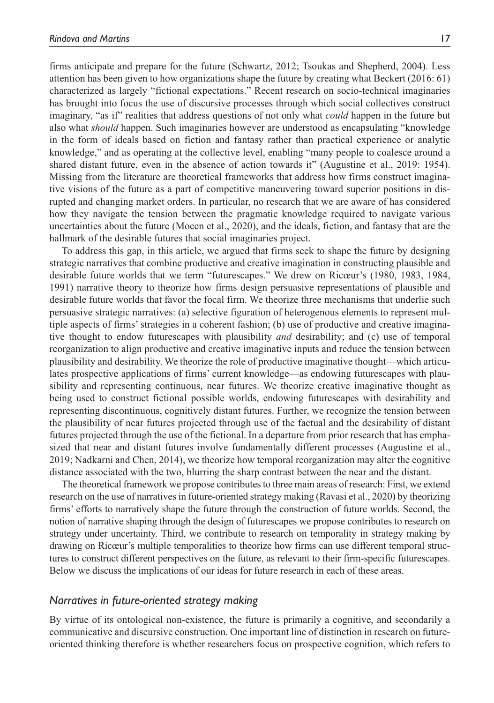firms anticipate and prepare for the future (Schwartz, 2012; Tsoukas and Shepherd, 2004). Less attention has been given to how organizations shape the future by creating what Beckert (2016: 61) characterized as largely "fictional expectations." Recent research on socio-technical imaginaries has brought into focus the use of discursive processes through which social collectives construct imaginary, "as if" realities that address questions of not only what *could* happen in the future but also what *should* happen. Such imaginaries however are understood as encapsulating "knowledge in the form of ideals based on fiction and fantasy rather than practical experience or analytic knowledge," and as operating at the collective level, enabling "many people to coalesce around a shared distant future, even in the absence of action towards it" (Augustine et al., 2019: 1954). Missing from the literature are theoretical frameworks that address how firms construct imaginative visions of the future as a part of competitive maneuvering toward superior positions in disrupted and changing market orders. In particular, no research that we are aware of has considered how they navigate the tension between the pragmatic knowledge required to navigate various uncertainties about the future (Moeen et al., 2020), and the ideals, fiction, and fantasy that are the hallmark of the desirable futures that social imaginaries project.

To address this gap, in this article, we argued that firms seek to shape the future by designing strategic narratives that combine productive and creative imagination in constructing plausible and desirable future worlds that we term "futurescapes." We drew on Ricœur's (1980, 1983, 1984, 1991) narrative theory to theorize how firms design persuasive representations of plausible and desirable future worlds that favor the focal firm. We theorize three mechanisms that underlie such persuasive strategic narratives: (a) selective figuration of heterogenous elements to represent multiple aspects of firms' strategies in a coherent fashion; (b) use of productive and creative imaginative thought to endow futurescapes with plausibility *and* desirability; and (c) use of temporal reorganization to align productive and creative imaginative inputs and reduce the tension between plausibility and desirability. We theorize the role of productive imaginative thought—which articulates prospective applications of firms' current knowledge—as endowing futurescapes with plausibility and representing continuous, near futures. We theorize creative imaginative thought as being used to construct fictional possible worlds, endowing futurescapes with desirability and representing discontinuous, cognitively distant futures. Further, we recognize the tension between the plausibility of near futures projected through use of the factual and the desirability of distant futures projected through the use of the fictional. In a departure from prior research that has emphasized that near and distant futures involve fundamentally different processes (Augustine et al., 2019; Nadkarni and Chen, 2014), we theorize how temporal reorganization may alter the cognitive distance associated with the two, blurring the sharp contrast between the near and the distant.

The theoretical framework we propose contributes to three main areas of research: First, we extend research on the use of narratives in future-oriented strategy making (Ravasi et al., 2020) by theorizing firms' efforts to narratively shape the future through the construction of future worlds. Second, the notion of narrative shaping through the design of futurescapes we propose contributes to research on strategy under uncertainty. Third, we contribute to research on temporality in strategy making by drawing on Ricœur's multiple temporalities to theorize how firms can use different temporal structures to construct different perspectives on the future, as relevant to their firm-specific futurescapes. Below we discuss the implications of our ideas for future research in each of these areas.

# *Narratives in future-oriented strategy making*

By virtue of its ontological non-existence, the future is primarily a cognitive, and secondarily a communicative and discursive construction. One important line of distinction in research on futureoriented thinking therefore is whether researchers focus on prospective cognition, which refers to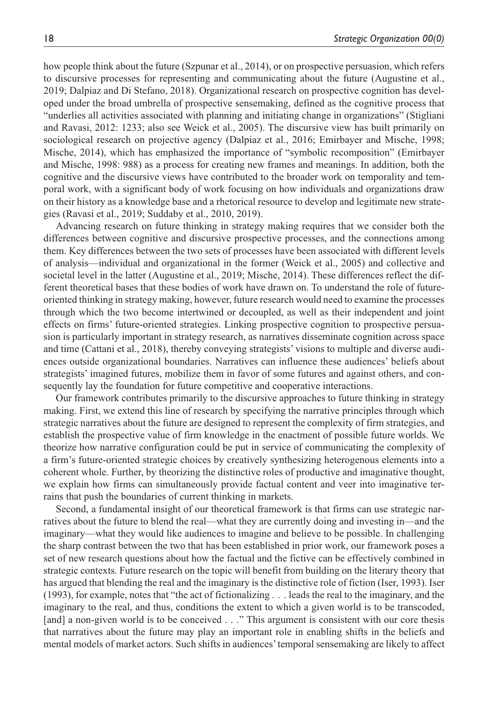how people think about the future (Szpunar et al., 2014), or on prospective persuasion, which refers to discursive processes for representing and communicating about the future (Augustine et al., 2019; Dalpiaz and Di Stefano, 2018). Organizational research on prospective cognition has developed under the broad umbrella of prospective sensemaking, defined as the cognitive process that "underlies all activities associated with planning and initiating change in organizations" (Stigliani and Ravasi, 2012: 1233; also see Weick et al., 2005). The discursive view has built primarily on sociological research on projective agency (Dalpiaz et al., 2016; Emirbayer and Mische, 1998; Mische, 2014), which has emphasized the importance of "symbolic recomposition" (Emirbayer and Mische, 1998: 988) as a process for creating new frames and meanings. In addition, both the cognitive and the discursive views have contributed to the broader work on temporality and temporal work, with a significant body of work focusing on how individuals and organizations draw on their history as a knowledge base and a rhetorical resource to develop and legitimate new strategies (Ravasi et al., 2019; Suddaby et al., 2010, 2019).

Advancing research on future thinking in strategy making requires that we consider both the differences between cognitive and discursive prospective processes, and the connections among them. Key differences between the two sets of processes have been associated with different levels of analysis—individual and organizational in the former (Weick et al., 2005) and collective and societal level in the latter (Augustine et al., 2019; Mische, 2014). These differences reflect the different theoretical bases that these bodies of work have drawn on. To understand the role of futureoriented thinking in strategy making, however, future research would need to examine the processes through which the two become intertwined or decoupled, as well as their independent and joint effects on firms' future-oriented strategies. Linking prospective cognition to prospective persuasion is particularly important in strategy research, as narratives disseminate cognition across space and time (Cattani et al., 2018), thereby conveying strategists' visions to multiple and diverse audiences outside organizational boundaries. Narratives can influence these audiences' beliefs about strategists' imagined futures, mobilize them in favor of some futures and against others, and consequently lay the foundation for future competitive and cooperative interactions.

Our framework contributes primarily to the discursive approaches to future thinking in strategy making. First, we extend this line of research by specifying the narrative principles through which strategic narratives about the future are designed to represent the complexity of firm strategies, and establish the prospective value of firm knowledge in the enactment of possible future worlds. We theorize how narrative configuration could be put in service of communicating the complexity of a firm's future-oriented strategic choices by creatively synthesizing heterogenous elements into a coherent whole. Further, by theorizing the distinctive roles of productive and imaginative thought, we explain how firms can simultaneously provide factual content and veer into imaginative terrains that push the boundaries of current thinking in markets.

Second, a fundamental insight of our theoretical framework is that firms can use strategic narratives about the future to blend the real—what they are currently doing and investing in—and the imaginary—what they would like audiences to imagine and believe to be possible. In challenging the sharp contrast between the two that has been established in prior work, our framework poses a set of new research questions about how the factual and the fictive can be effectively combined in strategic contexts. Future research on the topic will benefit from building on the literary theory that has argued that blending the real and the imaginary is the distinctive role of fiction (Iser, 1993). Iser (1993), for example, notes that "the act of fictionalizing . . . leads the real to the imaginary, and the imaginary to the real, and thus, conditions the extent to which a given world is to be transcoded, [and] a non-given world is to be conceived . . ." This argument is consistent with our core thesis that narratives about the future may play an important role in enabling shifts in the beliefs and mental models of market actors. Such shifts in audiences' temporal sensemaking are likely to affect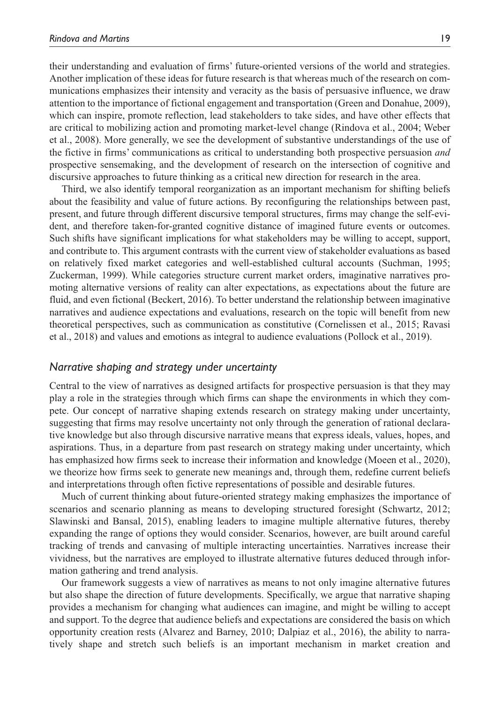their understanding and evaluation of firms' future-oriented versions of the world and strategies. Another implication of these ideas for future research is that whereas much of the research on communications emphasizes their intensity and veracity as the basis of persuasive influence, we draw attention to the importance of fictional engagement and transportation (Green and Donahue, 2009), which can inspire, promote reflection, lead stakeholders to take sides, and have other effects that are critical to mobilizing action and promoting market-level change (Rindova et al., 2004; Weber et al., 2008). More generally, we see the development of substantive understandings of the use of the fictive in firms' communications as critical to understanding both prospective persuasion *and* prospective sensemaking, and the development of research on the intersection of cognitive and discursive approaches to future thinking as a critical new direction for research in the area.

Third, we also identify temporal reorganization as an important mechanism for shifting beliefs about the feasibility and value of future actions. By reconfiguring the relationships between past, present, and future through different discursive temporal structures, firms may change the self-evident, and therefore taken-for-granted cognitive distance of imagined future events or outcomes. Such shifts have significant implications for what stakeholders may be willing to accept, support, and contribute to. This argument contrasts with the current view of stakeholder evaluations as based on relatively fixed market categories and well-established cultural accounts (Suchman, 1995; Zuckerman, 1999). While categories structure current market orders, imaginative narratives promoting alternative versions of reality can alter expectations, as expectations about the future are fluid, and even fictional (Beckert, 2016). To better understand the relationship between imaginative narratives and audience expectations and evaluations, research on the topic will benefit from new theoretical perspectives, such as communication as constitutive (Cornelissen et al., 2015; Ravasi et al., 2018) and values and emotions as integral to audience evaluations (Pollock et al., 2019).

#### *Narrative shaping and strategy under uncertainty*

Central to the view of narratives as designed artifacts for prospective persuasion is that they may play a role in the strategies through which firms can shape the environments in which they compete. Our concept of narrative shaping extends research on strategy making under uncertainty, suggesting that firms may resolve uncertainty not only through the generation of rational declarative knowledge but also through discursive narrative means that express ideals, values, hopes, and aspirations. Thus, in a departure from past research on strategy making under uncertainty, which has emphasized how firms seek to increase their information and knowledge (Moeen et al., 2020), we theorize how firms seek to generate new meanings and, through them, redefine current beliefs and interpretations through often fictive representations of possible and desirable futures.

Much of current thinking about future-oriented strategy making emphasizes the importance of scenarios and scenario planning as means to developing structured foresight (Schwartz, 2012; Slawinski and Bansal, 2015), enabling leaders to imagine multiple alternative futures, thereby expanding the range of options they would consider. Scenarios, however, are built around careful tracking of trends and canvasing of multiple interacting uncertainties. Narratives increase their vividness, but the narratives are employed to illustrate alternative futures deduced through information gathering and trend analysis.

Our framework suggests a view of narratives as means to not only imagine alternative futures but also shape the direction of future developments. Specifically, we argue that narrative shaping provides a mechanism for changing what audiences can imagine, and might be willing to accept and support. To the degree that audience beliefs and expectations are considered the basis on which opportunity creation rests (Alvarez and Barney, 2010; Dalpiaz et al., 2016), the ability to narratively shape and stretch such beliefs is an important mechanism in market creation and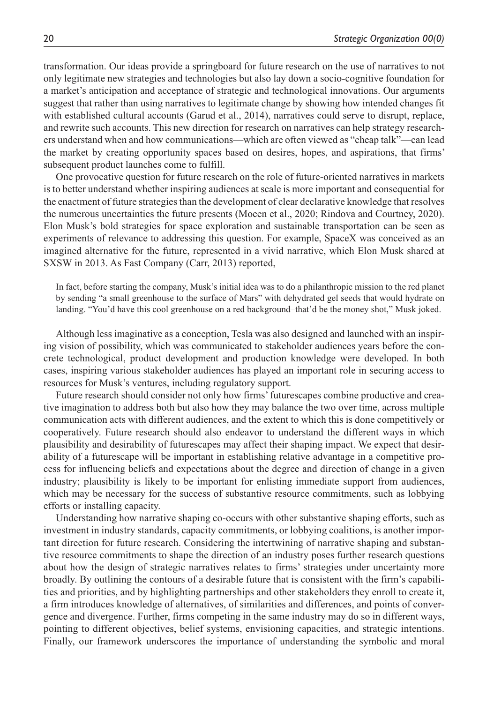transformation. Our ideas provide a springboard for future research on the use of narratives to not only legitimate new strategies and technologies but also lay down a socio-cognitive foundation for a market's anticipation and acceptance of strategic and technological innovations. Our arguments suggest that rather than using narratives to legitimate change by showing how intended changes fit with established cultural accounts (Garud et al., 2014), narratives could serve to disrupt, replace, and rewrite such accounts. This new direction for research on narratives can help strategy researchers understand when and how communications—which are often viewed as "cheap talk"—can lead the market by creating opportunity spaces based on desires, hopes, and aspirations, that firms' subsequent product launches come to fulfill.

One provocative question for future research on the role of future-oriented narratives in markets is to better understand whether inspiring audiences at scale is more important and consequential for the enactment of future strategies than the development of clear declarative knowledge that resolves the numerous uncertainties the future presents (Moeen et al., 2020; Rindova and Courtney, 2020). Elon Musk's bold strategies for space exploration and sustainable transportation can be seen as experiments of relevance to addressing this question. For example, SpaceX was conceived as an imagined alternative for the future, represented in a vivid narrative, which Elon Musk shared at SXSW in 2013. As Fast Company (Carr, 2013) reported,

In fact, before starting the company, Musk's initial idea was to do a philanthropic mission to the red planet by sending "a small greenhouse to the surface of Mars" with dehydrated gel seeds that would hydrate on landing. "You'd have this cool greenhouse on a red background–that'd be the money shot," Musk joked.

Although less imaginative as a conception, Tesla was also designed and launched with an inspiring vision of possibility, which was communicated to stakeholder audiences years before the concrete technological, product development and production knowledge were developed. In both cases, inspiring various stakeholder audiences has played an important role in securing access to resources for Musk's ventures, including regulatory support.

Future research should consider not only how firms' futurescapes combine productive and creative imagination to address both but also how they may balance the two over time, across multiple communication acts with different audiences, and the extent to which this is done competitively or cooperatively. Future research should also endeavor to understand the different ways in which plausibility and desirability of futurescapes may affect their shaping impact. We expect that desirability of a futurescape will be important in establishing relative advantage in a competitive process for influencing beliefs and expectations about the degree and direction of change in a given industry; plausibility is likely to be important for enlisting immediate support from audiences, which may be necessary for the success of substantive resource commitments, such as lobbying efforts or installing capacity.

Understanding how narrative shaping co-occurs with other substantive shaping efforts, such as investment in industry standards, capacity commitments, or lobbying coalitions, is another important direction for future research. Considering the intertwining of narrative shaping and substantive resource commitments to shape the direction of an industry poses further research questions about how the design of strategic narratives relates to firms' strategies under uncertainty more broadly. By outlining the contours of a desirable future that is consistent with the firm's capabilities and priorities, and by highlighting partnerships and other stakeholders they enroll to create it, a firm introduces knowledge of alternatives, of similarities and differences, and points of convergence and divergence. Further, firms competing in the same industry may do so in different ways, pointing to different objectives, belief systems, envisioning capacities, and strategic intentions. Finally, our framework underscores the importance of understanding the symbolic and moral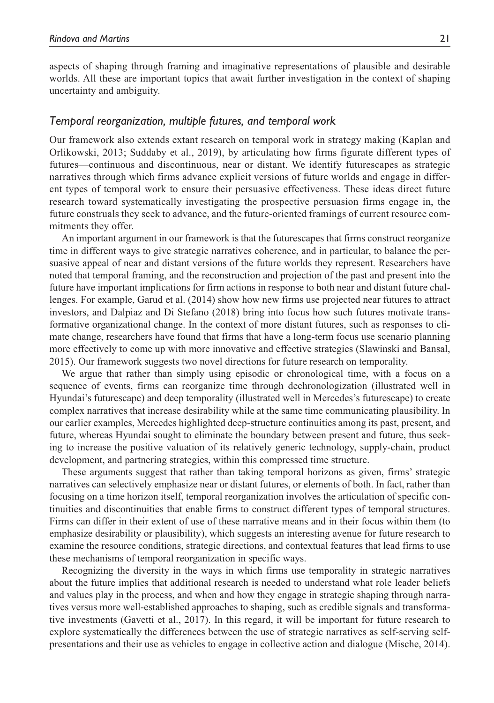aspects of shaping through framing and imaginative representations of plausible and desirable worlds. All these are important topics that await further investigation in the context of shaping uncertainty and ambiguity.

### *Temporal reorganization, multiple futures, and temporal work*

Our framework also extends extant research on temporal work in strategy making (Kaplan and Orlikowski, 2013; Suddaby et al., 2019), by articulating how firms figurate different types of futures—continuous and discontinuous, near or distant. We identify futurescapes as strategic narratives through which firms advance explicit versions of future worlds and engage in different types of temporal work to ensure their persuasive effectiveness. These ideas direct future research toward systematically investigating the prospective persuasion firms engage in, the future construals they seek to advance, and the future-oriented framings of current resource commitments they offer.

An important argument in our framework is that the futurescapes that firms construct reorganize time in different ways to give strategic narratives coherence, and in particular, to balance the persuasive appeal of near and distant versions of the future worlds they represent. Researchers have noted that temporal framing, and the reconstruction and projection of the past and present into the future have important implications for firm actions in response to both near and distant future challenges. For example, Garud et al. (2014) show how new firms use projected near futures to attract investors, and Dalpiaz and Di Stefano (2018) bring into focus how such futures motivate transformative organizational change. In the context of more distant futures, such as responses to climate change, researchers have found that firms that have a long-term focus use scenario planning more effectively to come up with more innovative and effective strategies (Slawinski and Bansal, 2015). Our framework suggests two novel directions for future research on temporality.

We argue that rather than simply using episodic or chronological time, with a focus on a sequence of events, firms can reorganize time through dechronologization (illustrated well in Hyundai's futurescape) and deep temporality (illustrated well in Mercedes's futurescape) to create complex narratives that increase desirability while at the same time communicating plausibility. In our earlier examples, Mercedes highlighted deep-structure continuities among its past, present, and future, whereas Hyundai sought to eliminate the boundary between present and future, thus seeking to increase the positive valuation of its relatively generic technology, supply-chain, product development, and partnering strategies, within this compressed time structure.

These arguments suggest that rather than taking temporal horizons as given, firms' strategic narratives can selectively emphasize near or distant futures, or elements of both. In fact, rather than focusing on a time horizon itself, temporal reorganization involves the articulation of specific continuities and discontinuities that enable firms to construct different types of temporal structures. Firms can differ in their extent of use of these narrative means and in their focus within them (to emphasize desirability or plausibility), which suggests an interesting avenue for future research to examine the resource conditions, strategic directions, and contextual features that lead firms to use these mechanisms of temporal reorganization in specific ways.

Recognizing the diversity in the ways in which firms use temporality in strategic narratives about the future implies that additional research is needed to understand what role leader beliefs and values play in the process, and when and how they engage in strategic shaping through narratives versus more well-established approaches to shaping, such as credible signals and transformative investments (Gavetti et al., 2017). In this regard, it will be important for future research to explore systematically the differences between the use of strategic narratives as self-serving selfpresentations and their use as vehicles to engage in collective action and dialogue (Mische, 2014).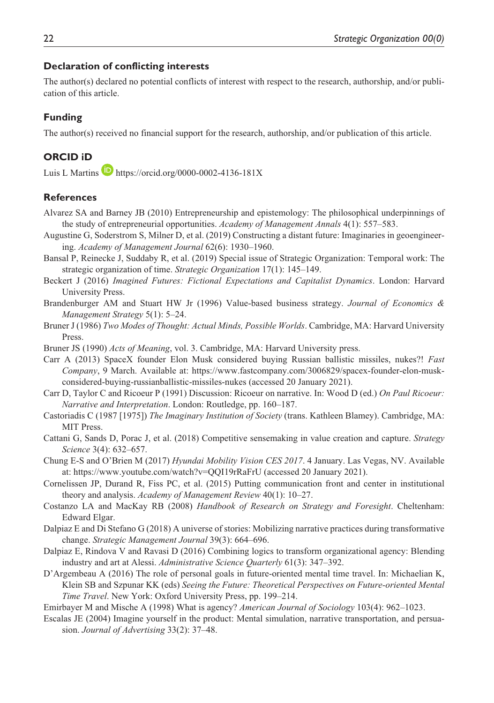### **Declaration of conflicting interests**

The author(s) declared no potential conflicts of interest with respect to the research, authorship, and/or publication of this article.

### **Funding**

The author(s) received no financial support for the research, authorship, and/or publication of this article.

# **ORCID iD**

Luis L Martins  $\blacksquare$  <https://orcid.org/0000-0002-4136-181X>

### **References**

- Alvarez SA and Barney JB (2010) Entrepreneurship and epistemology: The philosophical underpinnings of the study of entrepreneurial opportunities. *Academy of Management Annals* 4(1): 557–583.
- Augustine G, Soderstrom S, Milner D, et al. (2019) Constructing a distant future: Imaginaries in geoengineering. *Academy of Management Journal* 62(6): 1930–1960.
- Bansal P, Reinecke J, Suddaby R, et al. (2019) Special issue of Strategic Organization: Temporal work: The strategic organization of time. *Strategic Organization* 17(1): 145–149.
- Beckert J (2016) *Imagined Futures: Fictional Expectations and Capitalist Dynamics*. London: Harvard University Press.
- Brandenburger AM and Stuart HW Jr (1996) Value-based business strategy. *Journal of Economics & Management Strategy* 5(1): 5–24.
- Bruner J (1986) *Two Modes of Thought: Actual Minds, Possible Worlds*. Cambridge, MA: Harvard University Press.
- Bruner JS (1990) *Acts of Meaning*, vol. 3. Cambridge, MA: Harvard University press.
- Carr A (2013) SpaceX founder Elon Musk considered buying Russian ballistic missiles, nukes?! *Fast Company*, 9 March. Available at: [https://www.fastcompany.com/3006829/spacex-founder-elon-musk](https://www.fastcompany.com/3006829/spacex-founder-elon-musk-considered-buying-russianballistic-missiles-nukes)[considered-buying-russianballistic-missiles-nukes](https://www.fastcompany.com/3006829/spacex-founder-elon-musk-considered-buying-russianballistic-missiles-nukes) (accessed 20 January 2021).
- Carr D, Taylor C and Ricoeur P (1991) Discussion: Ricoeur on narrative. In: Wood D (ed.) *On Paul Ricoeur: Narrative and Interpretation*. London: Routledge, pp. 160–187.
- Castoriadis C (1987 [1975]) *The Imaginary Institution of Society* (trans. Kathleen Blamey). Cambridge, MA: MIT Press.
- Cattani G, Sands D, Porac J, et al. (2018) Competitive sensemaking in value creation and capture. *Strategy Science* 3(4): 632–657.
- Chung E-S and O'Brien M (2017) *Hyundai Mobility Vision CES 2017*. 4 January. Las Vegas, NV. Available at: <https://www.youtube.com/watch?v=QQI19rRaFrU> (accessed 20 January 2021).
- Cornelissen JP, Durand R, Fiss PC, et al. (2015) Putting communication front and center in institutional theory and analysis. *Academy of Management Review* 40(1): 10–27.
- Costanzo LA and MacKay RB (2008) *Handbook of Research on Strategy and Foresight*. Cheltenham: Edward Elgar.
- Dalpiaz E and Di Stefano G (2018) A universe of stories: Mobilizing narrative practices during transformative change. *Strategic Management Journal* 39(3): 664–696.
- Dalpiaz E, Rindova V and Ravasi D (2016) Combining logics to transform organizational agency: Blending industry and art at Alessi. *Administrative Science Quarterly* 61(3): 347–392.
- D'Argembeau A (2016) The role of personal goals in future-oriented mental time travel. In: Michaelian K, Klein SB and Szpunar KK (eds) *Seeing the Future: Theoretical Perspectives on Future-oriented Mental Time Travel*. New York: Oxford University Press, pp. 199–214.

Emirbayer M and Mische A (1998) What is agency? *American Journal of Sociology* 103(4): 962–1023.

Escalas JE (2004) Imagine yourself in the product: Mental simulation, narrative transportation, and persuasion. *Journal of Advertising* 33(2): 37–48.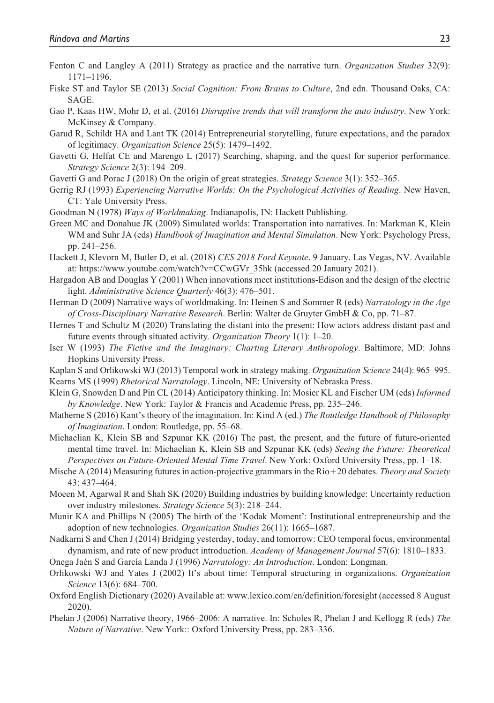- Fenton C and Langley A (2011) Strategy as practice and the narrative turn. *Organization Studies* 32(9): 1171–1196.
- Fiske ST and Taylor SE (2013) *Social Cognition: From Brains to Culture*, 2nd edn. Thousand Oaks, CA: SAGE.
- Gao P, Kaas HW, Mohr D, et al. (2016) *Disruptive trends that will transform the auto industry*. New York: McKinsey & Company.
- Garud R, Schildt HA and Lant TK (2014) Entrepreneurial storytelling, future expectations, and the paradox of legitimacy. *Organization Science* 25(5): 1479–1492.
- Gavetti G, Helfat CE and Marengo L (2017) Searching, shaping, and the quest for superior performance. *Strategy Science* 2(3): 194–209.
- Gavetti G and Porac J (2018) On the origin of great strategies. *Strategy Science* 3(1): 352–365.
- Gerrig RJ (1993) *Experiencing Narrative Worlds: On the Psychological Activities of Reading*. New Haven, CT: Yale University Press.
- Goodman N (1978) *Ways of Worldmaking*. Indianapolis, IN: Hackett Publishing.
- Green MC and Donahue JK (2009) Simulated worlds: Transportation into narratives. In: Markman K, Klein WM and Suhr JA (eds) *Handbook of Imagination and Mental Simulation*. New York: Psychology Press, pp. 241–256.
- Hackett J, Klevorn M, Butler D, et al. (2018) *CES 2018 Ford Keynote*. 9 January. Las Vegas, NV. Available at: [https://www.youtube.com/watch?v=CCwGVr\\_35hk](https://www.youtube.com/watch?v=CCwGVr_35hk) (accessed 20 January 2021).
- Hargadon AB and Douglas Y (2001) When innovations meet institutions-Edison and the design of the electric light. *Administrative Science Quarterly* 46(3): 476–501.
- Herman D (2009) Narrative ways of worldmaking. In: Heinen S and Sommer R (eds) *Narratology in the Age of Cross-Disciplinary Narrative Research*. Berlin: Walter de Gruyter GmbH & Co, pp. 71–87.
- Hernes T and Schultz M (2020) Translating the distant into the present: How actors address distant past and future events through situated activity. *Organization Theory* 1(1): 1–20.
- Iser W (1993) *The Fictive and the Imaginary: Charting Literary Anthropology*. Baltimore, MD: Johns Hopkins University Press.
- Kaplan S and Orlikowski WJ (2013) Temporal work in strategy making. *Organization Science* 24(4): 965–995. Kearns MS (1999) *Rhetorical Narratology*. Lincoln, NE: University of Nebraska Press.
- Klein G, Snowden D and Pin CL (2014) Anticipatory thinking. In: Mosier KL and Fischer UM (eds) *Informed by Knowledge*. New York: Taylor & Francis and Academic Press, pp. 235–246.
- Matherne S (2016) Kant's theory of the imagination. In: Kind A (ed.) *The Routledge Handbook of Philosophy of Imagination*. London: Routledge, pp. 55–68.
- Michaelian K, Klein SB and Szpunar KK (2016) The past, the present, and the future of future-oriented mental time travel. In: Michaelian K, Klein SB and Szpunar KK (eds) *Seeing the Future: Theoretical Perspectives on Future-Oriented Mental Time Travel*. New York: Oxford University Press, pp. 1–18.
- Mische A (2014) Measuring futures in action-projective grammars in the Rio+20 debates. *Theory and Society* 43: 437–464.
- Moeen M, Agarwal R and Shah SK (2020) Building industries by building knowledge: Uncertainty reduction over industry milestones. *Strategy Science* 5(3): 218–244.
- Munir KA and Phillips N (2005) The birth of the 'Kodak Moment': Institutional entrepreneurship and the adoption of new technologies. *Organization Studies* 26(11): 1665–1687.
- Nadkarni S and Chen J (2014) Bridging yesterday, today, and tomorrow: CEO temporal focus, environmental dynamism, and rate of new product introduction. *Academy of Management Journal* 57(6): 1810–1833.
- Onega Jaén S and García Landa J (1996) *Narratology: An Introduction*. London: Longman.
- Orlikowski WJ and Yates J (2002) It's about time: Temporal structuring in organizations. *Organization Science* 13(6): 684–700.
- Oxford English Dictionary (2020) Available at: <www.lexico.com/en/definition/foresight>(accessed 8 August 2020).
- Phelan J (2006) Narrative theory, 1966–2006: A narrative. In: Scholes R, Phelan J and Kellogg R (eds) *The Nature of Narrative*. New York:: Oxford University Press, pp. 283–336.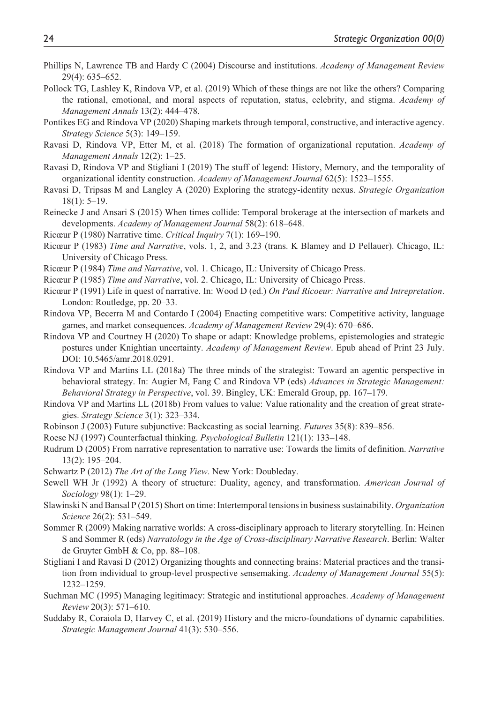- Phillips N, Lawrence TB and Hardy C (2004) Discourse and institutions. *Academy of Management Review* 29(4): 635–652.
- Pollock TG, Lashley K, Rindova VP, et al. (2019) Which of these things are not like the others? Comparing the rational, emotional, and moral aspects of reputation, status, celebrity, and stigma. *Academy of Management Annals* 13(2): 444–478.
- Pontikes EG and Rindova VP (2020) Shaping markets through temporal, constructive, and interactive agency. *Strategy Science* 5(3): 149–159.
- Ravasi D, Rindova VP, Etter M, et al. (2018) The formation of organizational reputation. *Academy of Management Annals* 12(2): 1–25.
- Ravasi D, Rindova VP and Stigliani I (2019) The stuff of legend: History, Memory, and the temporality of organizational identity construction. *Academy of Management Journal* 62(5): 1523–1555.
- Ravasi D, Tripsas M and Langley A (2020) Exploring the strategy-identity nexus. *Strategic Organization* 18(1): 5–19.
- Reinecke J and Ansari S (2015) When times collide: Temporal brokerage at the intersection of markets and developments. *Academy of Management Journal* 58(2): 618–648.
- Ricœur P (1980) Narrative time. *Critical Inquiry* 7(1): 169–190.
- Ricœur P (1983) *Time and Narrative*, vols. 1, 2, and 3.23 (trans. K Blamey and D Pellauer). Chicago, IL: University of Chicago Press.
- Ricœur P (1984) *Time and Narrative*, vol. 1. Chicago, IL: University of Chicago Press.
- Ricœur P (1985) *Time and Narrative*, vol. 2. Chicago, IL: University of Chicago Press.
- Ricœur P (1991) Life in quest of narrative. In: Wood D (ed.) *On Paul Ricoeur: Narrative and Intrepretation*. London: Routledge, pp. 20–33.
- Rindova VP, Becerra M and Contardo I (2004) Enacting competitive wars: Competitive activity, language games, and market consequences. *Academy of Management Review* 29(4): 670–686.
- Rindova VP and Courtney H (2020) To shape or adapt: Knowledge problems, epistemologies and strategic postures under Knightian uncertainty. *Academy of Management Review*. Epub ahead of Print 23 July. DOI: 10.5465/amr.2018.0291.
- Rindova VP and Martins LL (2018a) The three minds of the strategist: Toward an agentic perspective in behavioral strategy. In: Augier M, Fang C and Rindova VP (eds) *Advances in Strategic Management: Behavioral Strategy in Perspective*, vol. 39. Bingley, UK: Emerald Group, pp. 167–179.
- Rindova VP and Martins LL (2018b) From values to value: Value rationality and the creation of great strategies. *Strategy Science* 3(1): 323–334.
- Robinson J (2003) Future subjunctive: Backcasting as social learning. *Futures* 35(8): 839–856.
- Roese NJ (1997) Counterfactual thinking. *Psychological Bulletin* 121(1): 133–148.
- Rudrum D (2005) From narrative representation to narrative use: Towards the limits of definition. *Narrative* 13(2): 195–204.
- Schwartz P (2012) *The Art of the Long View*. New York: Doubleday.
- Sewell WH Jr (1992) A theory of structure: Duality, agency, and transformation. *American Journal of Sociology* 98(1): 1–29.
- Slawinski N and Bansal P (2015) Short on time: Intertemporal tensions in business sustainability. *Organization Science* 26(2): 531–549.
- Sommer R (2009) Making narrative worlds: A cross-disciplinary approach to literary storytelling. In: Heinen S and Sommer R (eds) *Narratology in the Age of Cross-disciplinary Narrative Research*. Berlin: Walter de Gruyter GmbH & Co, pp. 88–108.
- Stigliani I and Ravasi D (2012) Organizing thoughts and connecting brains: Material practices and the transition from individual to group-level prospective sensemaking. *Academy of Management Journal* 55(5): 1232–1259.
- Suchman MC (1995) Managing legitimacy: Strategic and institutional approaches. *Academy of Management Review* 20(3): 571–610.
- Suddaby R, Coraiola D, Harvey C, et al. (2019) History and the micro-foundations of dynamic capabilities. *Strategic Management Journal* 41(3): 530–556.